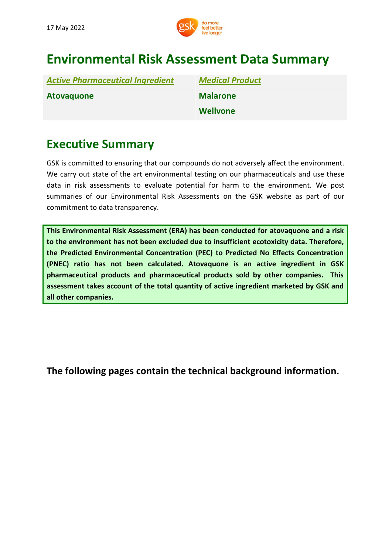

# **Environmental Risk Assessment Data Summary**

| <b>Active Pharmaceutical Ingredient</b> | <b>Medical Product</b> |
|-----------------------------------------|------------------------|
| <b>Atovaguone</b>                       | <b>Malarone</b>        |
|                                         | <b>Wellvone</b>        |

# **Executive Summary**

GSK is committed to ensuring that our compounds do not adversely affect the environment. We carry out state of the art environmental testing on our pharmaceuticals and use these data in risk assessments to evaluate potential for harm to the environment. We post summaries of our Environmental Risk Assessments on the GSK website as part of our commitment to data transparency.

**This Environmental Risk Assessment (ERA) has been conducted for atovaquone and a risk to the environment has not been excluded due to insufficient ecotoxicity data. Therefore, the Predicted Environmental Concentration (PEC) to Predicted No Effects Concentration (PNEC) ratio has not been calculated. Atovaquone is an active ingredient in GSK pharmaceutical products and pharmaceutical products sold by other companies. This assessment takes account of the total quantity of active ingredient marketed by GSK and all other companies.**

**[The](http://www.gsk.com/bupropion) following pages contain the technical background information.**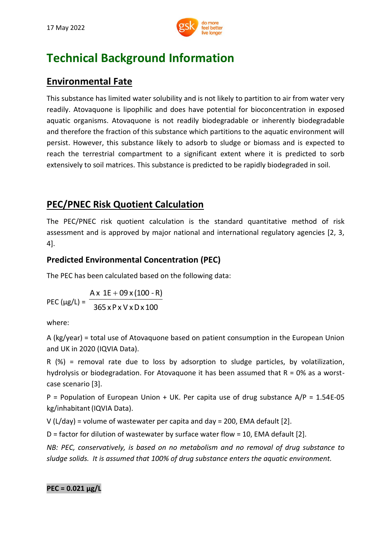

# **Technical Background Information**

## **Environmental Fate**

This substance has limited water solubility and is not likely to partition to air from water very readily. Atovaquone is lipophilic and does have potential for bioconcentration in exposed aquatic organisms. Atovaquone is not readily biodegradable or inherently biodegradable and therefore the fraction of this substance which partitions to the aquatic environment will persist. However, this substance likely to adsorb to sludge or biomass and is expected to reach the terrestrial compartment to a significant extent where it is predicted to sorb extensively to soil matrices. This substance is predicted to be rapidly biodegraded in soil.

## **PEC/PNEC Risk Quotient Calculation**

The PEC/PNEC risk quotient calculation is the standard quantitative method of risk assessment and is approved by major national and international regulatory agencies [2, 3, 4].

## **Predicted Environmental Concentration (PEC)**

The PEC has been calculated based on the following data:

PEC ( $\mu$ g/L) = <sup>-</sup> 365 xP x V xDx 100  $Ax 1E + 09x(100 - R)$ 

where:

A (kg/year) = total use of Atovaquone based on patient consumption in the European Union and UK in 2020 (IQVIA Data).

R (%) = removal rate due to loss by adsorption to sludge particles, by volatilization, hydrolysis or biodegradation. For Atovaquone it has been assumed that  $R = 0\%$  as a worstcase scenario [3].

P = Population of European Union + UK. Per capita use of drug substance  $A/P = 1.54E-05$ kg/inhabitant(IQVIA Data).

V (L/day) = volume of wastewater per capita and day = 200, EMA default [2].

D = factor for dilution of wastewater by surface water flow = 10, EMA default [2].

*NB: PEC, conservatively, is based on no metabolism and no removal of drug substance to sludge solids. It is assumed that 100% of drug substance enters the aquatic environment.*

**PEC = 0.021 μg/L**